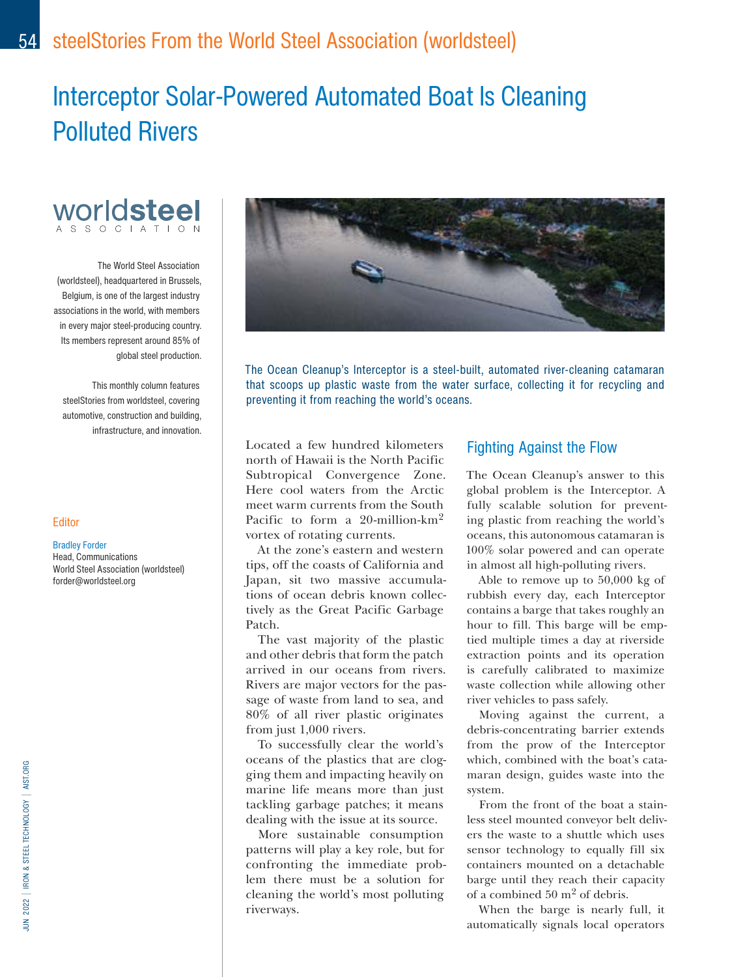# Interceptor Solar-Powered Automated Boat Is Cleaning Polluted Rivers



The World Steel Association (worldsteel), headquartered in Brussels, Belgium, is one of the largest industry associations in the world, with members in every major steel-producing country. Its members represent around 85% of global steel production.

This monthly column features steelStories from worldsteel, covering automotive, construction and building, infrastructure, and innovation.

#### **Editor**

### Bradley Forder

Head, Communications World Steel Association (worldsteel) forder@worldsteel.org



The Ocean Cleanup's Interceptor is a steel-built, automated river-cleaning catamaran that scoops up plastic waste from the water surface, collecting it for recycling and preventing it from reaching the world's oceans.

Located a few hundred kilometers north of Hawaii is the North Pacific Subtropical Convergence Zone. Here cool waters from the Arctic meet warm currents from the South Pacific to form a 20-million-km<sup>2</sup> vortex of rotating currents.

At the zone's eastern and western tips, off the coasts of California and Japan, sit two massive accumulations of ocean debris known collectively as the Great Pacific Garbage Patch.

The vast majority of the plastic and other debris that form the patch arrived in our oceans from rivers. Rivers are major vectors for the passage of waste from land to sea, and 80% of all river plastic originates from just 1,000 rivers.

To successfully clear the world's oceans of the plastics that are clogging them and impacting heavily on marine life means more than just tackling garbage patches; it means dealing with the issue at its source.

More sustainable consumption patterns will play a key role, but for confronting the immediate problem there must be a solution for cleaning the world's most polluting riverways.

## Fighting Against the Flow

The Ocean Cleanup's answer to this global problem is the Interceptor. A fully scalable solution for preventing plastic from reaching the world's oceans, this autonomous catamaran is 100% solar powered and can operate in almost all high-polluting rivers.

Able to remove up to 50,000 kg of rubbish every day, each Interceptor contains a barge that takes roughly an hour to fill. This barge will be emptied multiple times a day at riverside extraction points and its operation is carefully calibrated to maximize waste collection while allowing other river vehicles to pass safely.

Moving against the current, a debris-concentrating barrier extends from the prow of the Interceptor which, combined with the boat's catamaran design, guides waste into the system.

From the front of the boat a stainless steel mounted conveyor belt delivers the waste to a shuttle which uses sensor technology to equally fill six containers mounted on a detachable barge until they reach their capacity of a combined 50 m2 of debris.

When the barge is nearly full, it automatically signals local operators